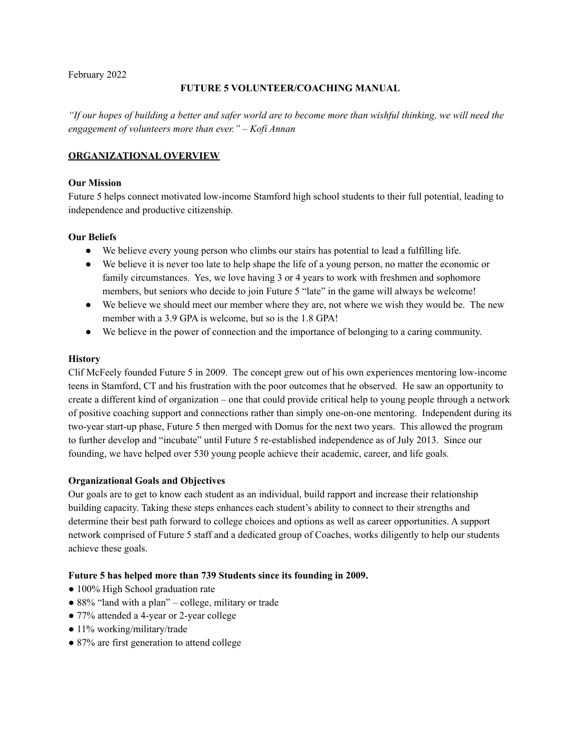#### February 2022

#### **FUTURE 5 VOLUNTEER/COACHING MANUAL**

*"If our hopes of building a better and safer world are to become more than wishful thinking, we will need the engagement of volunteers more than ever." – Kofi Annan*

### **ORGANIZATIONAL OVERVIEW**

#### **Our Mission**

Future 5 helps connect motivated low-income Stamford high school students to their full potential, leading to independence and productive citizenship.

## **Our Beliefs**

- We believe every young person who climbs our stairs has potential to lead a fulfilling life.
- We believe it is never too late to help shape the life of a young person, no matter the economic or family circumstances. Yes, we love having 3 or 4 years to work with freshmen and sophomore members, but seniors who decide to join Future 5 "late" in the game will always be welcome!
- We believe we should meet our member where they are, not where we wish they would be. The new member with a 3.9 GPA is welcome, but so is the 1.8 GPA!
- We believe in the power of connection and the importance of belonging to a caring community.

#### **History**

Clif McFeely founded Future 5 in 2009. The concept grew out of his own experiences mentoring low-income teens in Stamford, CT and his frustration with the poor outcomes that he observed. He saw an opportunity to create a different kind of organization – one that could provide critical help to young people through a network of positive coaching support and connections rather than simply one-on-one mentoring. Independent during its two-year start-up phase, Future 5 then merged with Domus for the next two years. This allowed the program to further develop and "incubate" until Future 5 re-established independence as of July 2013. Since our founding, we have helped over 530 young people achieve their academic, career, and life goals.

### **Organizational Goals and Objectives**

Our goals are to get to know each student as an individual, build rapport and increase their relationship building capacity. Taking these steps enhances each student's ability to connect to their strengths and determine their best path forward to college choices and options as well as career opportunities. A support network comprised of Future 5 staff and a dedicated group of Coaches, works diligently to help our students achieve these goals.

### **Future 5 has helped more than 739 Students since its founding in 2009.**

- 100% High School graduation rate
- 88% "land with a plan" college, military or trade
- 77% attended a 4-year or 2-year college
- 11% working/military/trade
- 87% are first generation to attend college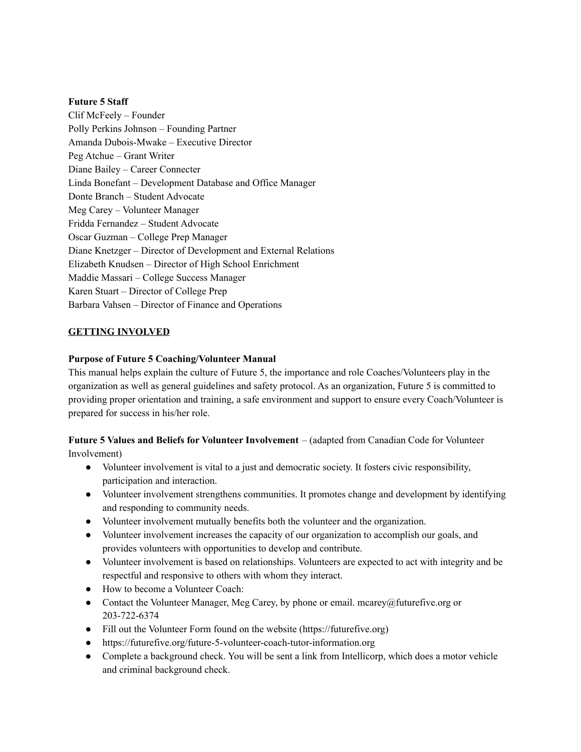### **Future 5 Staff**

Clif McFeely – Founder Polly Perkins Johnson – Founding Partner Amanda Dubois-Mwake – Executive Director Peg Atchue – Grant Writer Diane Bailey – Career Connecter Linda Bonefant – Development Database and Office Manager Donte Branch – Student Advocate Meg Carey – Volunteer Manager Fridda Fernandez – Student Advocate Oscar Guzman – College Prep Manager Diane Knetzger – Director of Development and External Relations Elizabeth Knudsen – Director of High School Enrichment Maddie Massari – College Success Manager Karen Stuart – Director of College Prep Barbara Vahsen – Director of Finance and Operations

## **GETTING INVOLVED**

### **Purpose of Future 5 Coaching/Volunteer Manual**

This manual helps explain the culture of Future 5, the importance and role Coaches/Volunteers play in the organization as well as general guidelines and safety protocol. As an organization, Future 5 is committed to providing proper orientation and training, a safe environment and support to ensure every Coach/Volunteer is prepared for success in his/her role.

**Future 5 Values and Beliefs for Volunteer Involvement** – (adapted from Canadian Code for Volunteer Involvement)

- Volunteer involvement is vital to a just and democratic society. It fosters civic responsibility, participation and interaction.
- Volunteer involvement strengthens communities. It promotes change and development by identifying and responding to community needs.
- Volunteer involvement mutually benefits both the volunteer and the organization.
- Volunteer involvement increases the capacity of our organization to accomplish our goals, and provides volunteers with opportunities to develop and contribute.
- Volunteer involvement is based on relationships. Volunteers are expected to act with integrity and be respectful and responsive to others with whom they interact.
- How to become a Volunteer Coach:
- Contact the Volunteer Manager, Meg Carey, by phone or email. mcarey@futurefive.org or 203-722-6374
- Fill out the Volunteer Form found on the website (https://futurefive.org)
- https://futurefive.org/future-5-volunteer-coach-tutor-information.org
- Complete a background check. You will be sent a link from Intellicorp, which does a motor vehicle and criminal background check.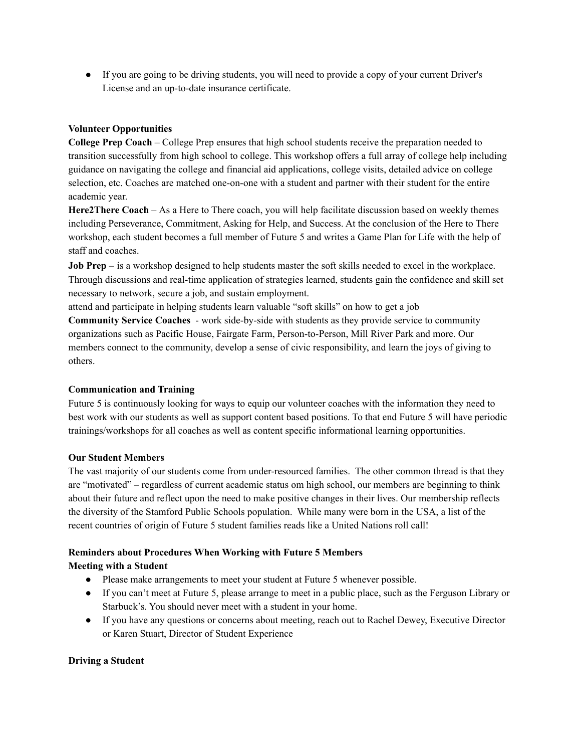● If you are going to be driving students, you will need to provide a copy of your current Driver's License and an up-to-date insurance certificate.

## **Volunteer Opportunities**

**College Prep Coach** – College Prep ensures that high school students receive the preparation needed to transition successfully from high school to college. This workshop offers a full array of college help including guidance on navigating the college and financial aid applications, college visits, detailed advice on college selection, etc. Coaches are matched one-on-one with a student and partner with their student for the entire academic year.

**Here2There Coach** – As a Here to There coach, you will help facilitate discussion based on weekly themes including Perseverance, Commitment, Asking for Help, and Success. At the conclusion of the Here to There workshop, each student becomes a full member of Future 5 and writes a Game Plan for Life with the help of staff and coaches.

**Job Prep** – is a workshop designed to help students master the soft skills needed to excel in the workplace. Through discussions and real-time application of strategies learned, students gain the confidence and skill set necessary to network, secure a job, and sustain employment.

attend and participate in helping students learn valuable "soft skills" on how to get a job

**Community Service Coaches** - work side-by-side with students as they provide service to community organizations such as Pacific House, Fairgate Farm, Person-to-Person, Mill River Park and more. Our members connect to the community, develop a sense of civic responsibility, and learn the joys of giving to others.

### **Communication and Training**

Future 5 is continuously looking for ways to equip our volunteer coaches with the information they need to best work with our students as well as support content based positions. To that end Future 5 will have periodic trainings/workshops for all coaches as well as content specific informational learning opportunities.

### **Our Student Members**

The vast majority of our students come from under-resourced families. The other common thread is that they are "motivated" – regardless of current academic status om high school, our members are beginning to think about their future and reflect upon the need to make positive changes in their lives. Our membership reflects the diversity of the Stamford Public Schools population. While many were born in the USA, a list of the recent countries of origin of Future 5 student families reads like a United Nations roll call!

# **Reminders about Procedures When Working with Future 5 Members**

# **Meeting with a Student**

- Please make arrangements to meet your student at Future 5 whenever possible.
- If you can't meet at Future 5, please arrange to meet in a public place, such as the Ferguson Library or Starbuck's. You should never meet with a student in your home.
- If you have any questions or concerns about meeting, reach out to Rachel Dewey, Executive Director or Karen Stuart, Director of Student Experience

# **Driving a Student**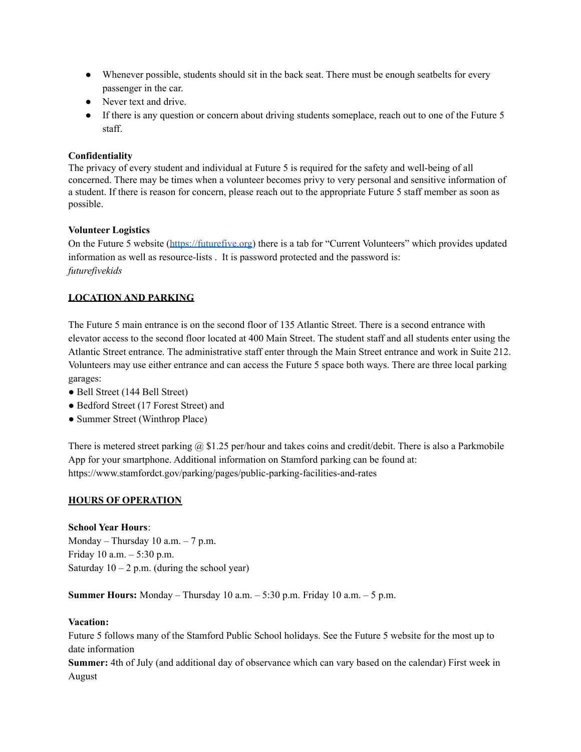- Whenever possible, students should sit in the back seat. There must be enough seatbelts for every passenger in the car.
- Never text and drive.
- If there is any question or concern about driving students someplace, reach out to one of the Future 5 staff.

## **Confidentiality**

The privacy of every student and individual at Future 5 is required for the safety and well-being of all concerned. There may be times when a volunteer becomes privy to very personal and sensitive information of a student. If there is reason for concern, please reach out to the appropriate Future 5 staff member as soon as possible.

## **Volunteer Logistics**

On the Future 5 website (<https://futurefive.org>) there is a tab for "Current Volunteers" which provides updated information as well as resource-lists . It is password protected and the password is: *futurefivekids*

# **LOCATION AND PARKING**

The Future 5 main entrance is on the second floor of 135 Atlantic Street. There is a second entrance with elevator access to the second floor located at 400 Main Street. The student staff and all students enter using the Atlantic Street entrance. The administrative staff enter through the Main Street entrance and work in Suite 212. Volunteers may use either entrance and can access the Future 5 space both ways. There are three local parking garages:

- Bell Street (144 Bell Street)
- Bedford Street (17 Forest Street) and
- Summer Street (Winthrop Place)

There is metered street parking @ \$1.25 per/hour and takes coins and credit/debit. There is also a Parkmobile App for your smartphone. Additional information on Stamford parking can be found at: https://www.stamfordct.gov/parking/pages/public-parking-facilities-and-rates

### **HOURS OF OPERATION**

### **School Year Hours**:

Monday – Thursday 10 a.m.  $-7$  p.m. Friday 10 a.m. – 5:30 p.m. Saturday  $10 - 2$  p.m. (during the school year)

**Summer Hours:** Monday – Thursday 10 a.m. – 5:30 p.m. Friday 10 a.m. – 5 p.m.

#### **Vacation:**

Future 5 follows many of the Stamford Public School holidays. See the Future 5 website for the most up to date information

**Summer:** 4th of July (and additional day of observance which can vary based on the calendar) First week in August